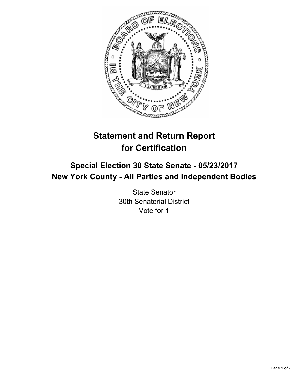

# **Statement and Return Report for Certification**

## **Special Election 30 State Senate - 05/23/2017 New York County - All Parties and Independent Bodies**

State Senator 30th Senatorial District Vote for 1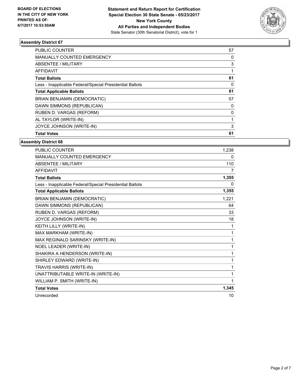

| <b>Total Votes</b>                                       | 61       |
|----------------------------------------------------------|----------|
| JOYCE JOHNSON (WRITE-IN)                                 | 3        |
| AL TAYLOR (WRITE-IN)                                     |          |
| RUBEN D. VARGAS (REFORM)                                 | 0        |
| DAWN SIMMONS (REPUBLICAN)                                | 0        |
| <b>BRIAN BENJAMIN (DEMOCRATIC)</b>                       | 57       |
| <b>Total Applicable Ballots</b>                          | 61       |
| Less - Inapplicable Federal/Special Presidential Ballots | $\Omega$ |
| <b>Total Ballots</b>                                     | 61       |
| <b>AFFIDAVIT</b>                                         |          |
| ABSENTEE / MILITARY                                      | 3        |
| <b>MANUALLY COUNTED EMERGENCY</b>                        | 0        |
| <b>PUBLIC COUNTER</b>                                    | 57       |

| <b>PUBLIC COUNTER</b>                                    | 1,238 |
|----------------------------------------------------------|-------|
| <b>MANUALLY COUNTED EMERGENCY</b>                        | 0     |
| <b>ABSENTEE / MILITARY</b>                               | 110   |
| <b>AFFIDAVIT</b>                                         | 7     |
| <b>Total Ballots</b>                                     | 1,355 |
| Less - Inapplicable Federal/Special Presidential Ballots | 0     |
| <b>Total Applicable Ballots</b>                          | 1,355 |
| BRIAN BENJAMIN (DEMOCRATIC)                              | 1,221 |
| DAWN SIMMONS (REPUBLICAN)                                | 64    |
| RUBEN D. VARGAS (REFORM)                                 | 33    |
| JOYCE JOHNSON (WRITE-IN)                                 | 18    |
| KEITH LILLY (WRITE-IN)                                   | 1     |
| MAX MARKHAM (WRITE-IN)                                   | 1     |
| MAX REGINALD SARINSKY (WRITE-IN)                         | 1     |
| <b>NOEL LEADER (WRITE-IN)</b>                            | 1     |
| SHAKIRA A HENDERSON (WRITE-IN)                           | 1     |
| SHIRLEY EDWARD (WRITE-IN)                                | 1     |
| TRAVIS HARRIS (WRITE-IN)                                 | 1     |
| UNATTRIBUTABLE WRITE-IN (WRITE-IN)                       | 1     |
| WILLIAM P. SMITH (WRITE-IN)                              | 1     |
| <b>Total Votes</b>                                       | 1,345 |
| Unrecorded                                               | 10    |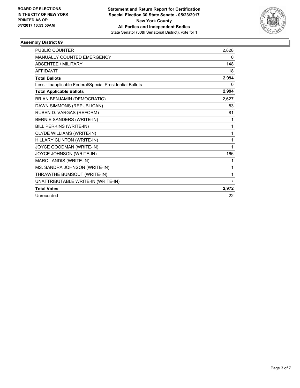

| <b>PUBLIC COUNTER</b>                                    | 2,828 |
|----------------------------------------------------------|-------|
| <b>MANUALLY COUNTED EMERGENCY</b>                        | 0     |
| <b>ABSENTEE / MILITARY</b>                               | 148   |
| <b>AFFIDAVIT</b>                                         | 18    |
| <b>Total Ballots</b>                                     | 2,994 |
| Less - Inapplicable Federal/Special Presidential Ballots | 0     |
| <b>Total Applicable Ballots</b>                          | 2,994 |
| <b>BRIAN BENJAMIN (DEMOCRATIC)</b>                       | 2,627 |
| DAWN SIMMONS (REPUBLICAN)                                | 83    |
| RUBEN D. VARGAS (REFORM)                                 | 81    |
| BERNIE SANDERS (WRITE-IN)                                | 1     |
| BILL PERKINS (WRITE-IN)                                  | 1     |
| CLYDE WILLIAMS (WRITE-IN)                                | 1     |
| HILLARY CLINTON (WRITE-IN)                               | 1     |
| JOYCE GOODMAN (WRITE-IN)                                 | 1     |
| JOYCE JOHNSON (WRITE-IN)                                 | 166   |
| MARC LANDIS (WRITE-IN)                                   | 1     |
| MS. SANDRA JOHNSON (WRITE-IN)                            | 1     |
| THRAWTHE BUMSOUT (WRITE-IN)                              | 1     |
| UNATTRIBUTABLE WRITE-IN (WRITE-IN)                       | 7     |
| <b>Total Votes</b>                                       | 2,972 |
| Unrecorded                                               | 22    |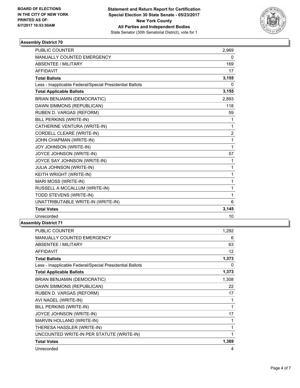

| <b>PUBLIC COUNTER</b>                                    | 2,969 |
|----------------------------------------------------------|-------|
| MANUALLY COUNTED EMERGENCY                               | 0     |
| <b>ABSENTEE / MILITARY</b>                               | 169   |
| <b>AFFIDAVIT</b>                                         | 17    |
| <b>Total Ballots</b>                                     | 3,155 |
| Less - Inapplicable Federal/Special Presidential Ballots | 0     |
| <b>Total Applicable Ballots</b>                          | 3,155 |
| <b>BRIAN BENJAMIN (DEMOCRATIC)</b>                       | 2,893 |
| DAWN SIMMONS (REPUBLICAN)                                | 118   |
| RUBEN D. VARGAS (REFORM)                                 | 59    |
| <b>BILL PERKINS (WRITE-IN)</b>                           | 1     |
| CATHERINE VENTURA (WRITE-IN)                             | 1     |
| CORDELL CLEARE (WRITE-IN)                                | 2     |
| JOHN CHAPMAN (WRITE-IN)                                  | 1     |
| <b>JOY JOHNSON (WRITE-IN)</b>                            | 1     |
| JOYCE JOHNSON (WRITE-IN)                                 | 57    |
| JOYCE SAY JOHNSON (WRITE-IN)                             | 1     |
| <b>JULIA JOHNSON (WRITE-IN)</b>                          | 1     |
| KEITH WRIGHT (WRITE-IN)                                  | 1     |
| MARI MOSS (WRITE-IN)                                     | 1     |
| RUSSELL A MCCALLUM (WRITE-IN)                            | 1     |
| TODD STEVENS (WRITE-IN)                                  | 1     |
| UNATTRIBUTABLE WRITE-IN (WRITE-IN)                       | 6     |
| <b>Total Votes</b>                                       | 3,145 |
| Unrecorded                                               | 10    |

| PUBLIC COUNTER                                           | 1,292 |
|----------------------------------------------------------|-------|
| <b>MANUALLY COUNTED EMERGENCY</b>                        | 6     |
| <b>ABSENTEE / MILITARY</b>                               | 63    |
| <b>AFFIDAVIT</b>                                         | 12    |
| <b>Total Ballots</b>                                     | 1,373 |
| Less - Inapplicable Federal/Special Presidential Ballots | 0     |
| <b>Total Applicable Ballots</b>                          | 1,373 |
| <b>BRIAN BENJAMIN (DEMOCRATIC)</b>                       | 1,308 |
| DAWN SIMMONS (REPUBLICAN)                                | 22    |
| RUBEN D. VARGAS (REFORM)                                 | 17    |
| AVI NAGEL (WRITE-IN)                                     | 1     |
| BILL PERKINS (WRITE-IN)                                  | 1     |
| JOYCE JOHNSON (WRITE-IN)                                 | 17    |
| MARVIN HOLLAND (WRITE-IN)                                | 1     |
| THERESA HASSLER (WRITE-IN)                               | 1     |
| UNCOUNTED WRITE-IN PER STATUTE (WRITE-IN)                |       |
| <b>Total Votes</b>                                       | 1,369 |
| Unrecorded                                               | 4     |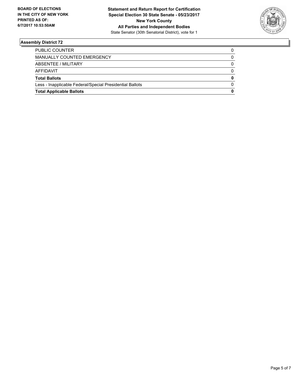

| <b>Total Applicable Ballots</b>                          | 0 |
|----------------------------------------------------------|---|
| Less - Inapplicable Federal/Special Presidential Ballots |   |
| <b>Total Ballots</b>                                     | 0 |
| AFFIDAVIT                                                |   |
| ABSENTEE / MILITARY                                      | 0 |
| MANUALLY COUNTED EMERGENCY                               | 0 |
| PUBLIC COUNTER                                           |   |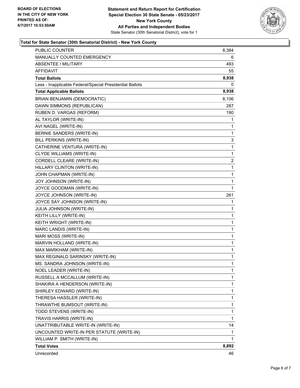

#### **Total for State Senator (30th Senatorial District) - New York County**

|                                                          | 8,892      |
|----------------------------------------------------------|------------|
| <b>Total Votes</b>                                       |            |
| WILLIAM P. SMITH (WRITE-IN)                              | 1          |
| UNCOUNTED WRITE-IN PER STATUTE (WRITE-IN)                | 1          |
| UNATTRIBUTABLE WRITE-IN (WRITE-IN)                       | 14         |
| TRAVIS HARRIS (WRITE-IN)                                 | 1          |
| TODD STEVENS (WRITE-IN)                                  | 1          |
| THRAWTHE BUMSOUT (WRITE-IN)                              | 1          |
| THERESA HASSLER (WRITE-IN)                               | 1          |
| SHIRLEY EDWARD (WRITE-IN)                                | 1          |
| SHAKIRA A HENDERSON (WRITE-IN)                           | 1          |
| RUSSELL A MCCALLUM (WRITE-IN)                            | 1          |
| NOEL LEADER (WRITE-IN)                                   | 1          |
| MS. SANDRA JOHNSON (WRITE-IN)                            | 1          |
| MAX REGINALD SARINSKY (WRITE-IN)                         | 1          |
| MAX MARKHAM (WRITE-IN)                                   | 1          |
| MARVIN HOLLAND (WRITE-IN)                                | 1          |
| MARI MOSS (WRITE-IN)                                     | 1          |
| MARC LANDIS (WRITE-IN)                                   | 1          |
| KEITH WRIGHT (WRITE-IN)                                  | 1          |
| KEITH LILLY (WRITE-IN)                                   | 1          |
| JULIA JOHNSON (WRITE-IN)                                 | 1          |
| JOYCE SAY JOHNSON (WRITE-IN)                             | 1          |
| JOYCE JOHNSON (WRITE-IN)                                 | 261        |
| JOYCE GOODMAN (WRITE-IN)                                 | 1          |
| JOY JOHNSON (WRITE-IN)                                   | 1          |
| JOHN CHAPMAN (WRITE-IN)                                  | 1          |
| HILLARY CLINTON (WRITE-IN)                               | 1          |
| CORDELL CLEARE (WRITE-IN)                                | 2          |
| CLYDE WILLIAMS (WRITE-IN)                                | 1          |
| CATHERINE VENTURA (WRITE-IN)                             | 1          |
| BILL PERKINS (WRITE-IN)                                  | 3          |
| BERNIE SANDERS (WRITE-IN)                                | 1          |
| AVI NAGEL (WRITE-IN)                                     | 1          |
| RUBEN D. VARGAS (REFORM)<br>AL TAYLOR (WRITE-IN)         | 190<br>1   |
| DAWN SIMMONS (REPUBLICAN)                                |            |
| BRIAN BENJAMIN (DEMOCRATIC)                              | 287        |
|                                                          | 8,106      |
| <b>Total Applicable Ballots</b>                          | 8,938      |
| Less - Inapplicable Federal/Special Presidential Ballots | 8,938<br>0 |
| <b>AFFIDAVIT</b><br><b>Total Ballots</b>                 | 55         |
| ABSENTEE / MILITARY                                      | 493        |
| <b>MANUALLY COUNTED EMERGENCY</b>                        | 6          |
| PUBLIC COUNTER                                           | 8,384      |